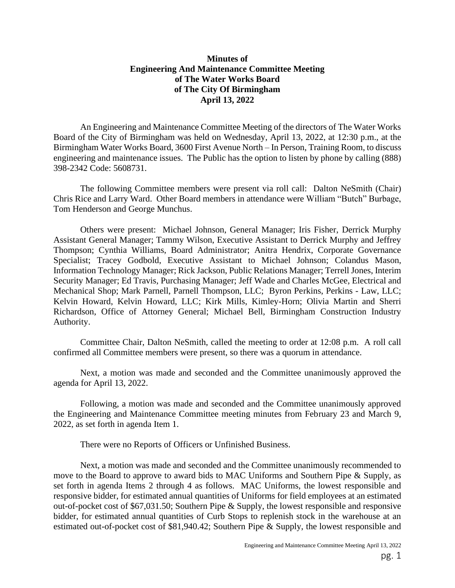## **Minutes of Engineering And Maintenance Committee Meeting of The Water Works Board of The City Of Birmingham April 13, 2022**

An Engineering and Maintenance Committee Meeting of the directors of The Water Works Board of the City of Birmingham was held on Wednesday, April 13, 2022, at 12:30 p.m., at the Birmingham Water Works Board, 3600 First Avenue North – In Person, Training Room, to discuss engineering and maintenance issues. The Public has the option to listen by phone by calling (888) 398-2342 Code: 5608731.

The following Committee members were present via roll call: Dalton NeSmith (Chair) Chris Rice and Larry Ward. Other Board members in attendance were William "Butch" Burbage, Tom Henderson and George Munchus.

Others were present: Michael Johnson, General Manager; Iris Fisher, Derrick Murphy Assistant General Manager; Tammy Wilson, Executive Assistant to Derrick Murphy and Jeffrey Thompson; Cynthia Williams, Board Administrator; Anitra Hendrix, Corporate Governance Specialist; Tracey Godbold, Executive Assistant to Michael Johnson; Colandus Mason, Information Technology Manager; Rick Jackson, Public Relations Manager; Terrell Jones, Interim Security Manager; Ed Travis, Purchasing Manager; Jeff Wade and Charles McGee, Electrical and Mechanical Shop; Mark Parnell, Parnell Thompson, LLC; Byron Perkins, Perkins - Law, LLC; Kelvin Howard, Kelvin Howard, LLC; Kirk Mills, Kimley-Horn; Olivia Martin and Sherri Richardson, Office of Attorney General; Michael Bell, Birmingham Construction Industry Authority.

Committee Chair, Dalton NeSmith, called the meeting to order at 12:08 p.m. A roll call confirmed all Committee members were present, so there was a quorum in attendance.

Next, a motion was made and seconded and the Committee unanimously approved the agenda for April 13, 2022.

Following, a motion was made and seconded and the Committee unanimously approved the Engineering and Maintenance Committee meeting minutes from February 23 and March 9, 2022, as set forth in agenda Item 1.

There were no Reports of Officers or Unfinished Business.

Next, a motion was made and seconded and the Committee unanimously recommended to move to the Board to approve to award bids to MAC Uniforms and Southern Pipe & Supply, as set forth in agenda Items 2 through 4 as follows. MAC Uniforms, the lowest responsible and responsive bidder, for estimated annual quantities of Uniforms for field employees at an estimated out-of-pocket cost of \$67,031.50; Southern Pipe & Supply, the lowest responsible and responsive bidder, for estimated annual quantities of Curb Stops to replenish stock in the warehouse at an estimated out-of-pocket cost of \$81,940.42; Southern Pipe & Supply, the lowest responsible and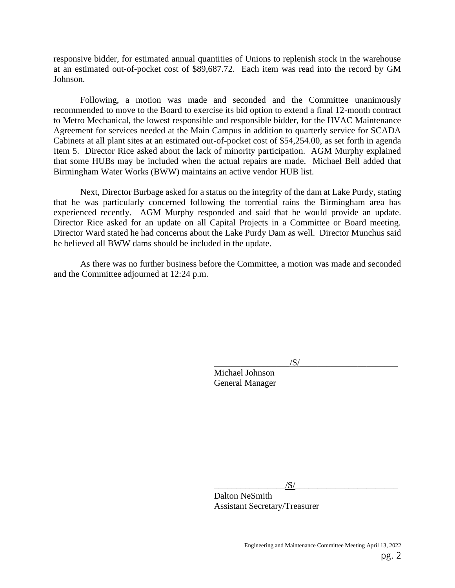responsive bidder, for estimated annual quantities of Unions to replenish stock in the warehouse at an estimated out-of-pocket cost of \$89,687.72. Each item was read into the record by GM Johnson.

Following, a motion was made and seconded and the Committee unanimously recommended to move to the Board to exercise its bid option to extend a final 12-month contract to Metro Mechanical, the lowest responsible and responsible bidder, for the HVAC Maintenance Agreement for services needed at the Main Campus in addition to quarterly service for SCADA Cabinets at all plant sites at an estimated out-of-pocket cost of \$54,254.00, as set forth in agenda Item 5. Director Rice asked about the lack of minority participation. AGM Murphy explained that some HUBs may be included when the actual repairs are made. Michael Bell added that Birmingham Water Works (BWW) maintains an active vendor HUB list.

Next, Director Burbage asked for a status on the integrity of the dam at Lake Purdy, stating that he was particularly concerned following the torrential rains the Birmingham area has experienced recently. AGM Murphy responded and said that he would provide an update. Director Rice asked for an update on all Capital Projects in a Committee or Board meeting. Director Ward stated he had concerns about the Lake Purdy Dam as well. Director Munchus said he believed all BWW dams should be included in the update.

As there was no further business before the Committee, a motion was made and seconded and the Committee adjourned at 12:24 p.m.

 $\sqrt{S/}$ 

 Michael Johnson General Manager

 $/$ S/ $\frac{1}{2}$ Dalton NeSmith Assistant Secretary/Treasurer